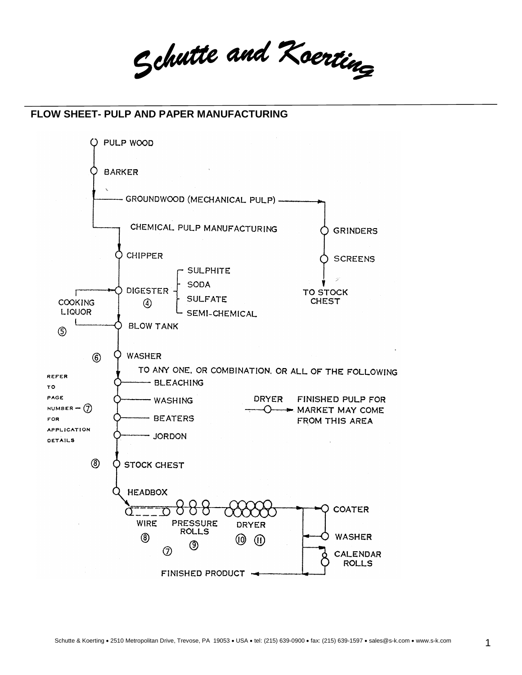Schutte and Koerting

## **FLOW SHEET- PULP AND PAPER MANUFACTURING**

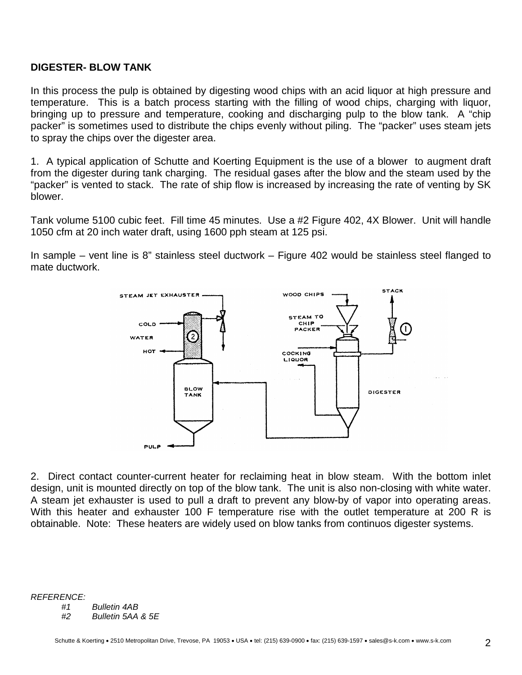## **DIGESTER- BLOW TANK**

In this process the pulp is obtained by digesting wood chips with an acid liquor at high pressure and temperature. This is a batch process starting with the filling of wood chips, charging with liquor, bringing up to pressure and temperature, cooking and discharging pulp to the blow tank. A "chip packer" is sometimes used to distribute the chips evenly without piling. The "packer" uses steam jets to spray the chips over the digester area.

1. A typical application of Schutte and Koerting Equipment is the use of a blower to augment draft from the digester during tank charging. The residual gases after the blow and the steam used by the "packer" is vented to stack. The rate of ship flow is increased by increasing the rate of venting by SK blower.

Tank volume 5100 cubic feet. Fill time 45 minutes. Use a #2 Figure 402, 4X Blower. Unit will handle 1050 cfm at 20 inch water draft, using 1600 pph steam at 125 psi.

In sample – vent line is 8" stainless steel ductwork – Figure 402 would be stainless steel flanged to mate ductwork.



2. Direct contact counter-current heater for reclaiming heat in blow steam. With the bottom inlet design, unit is mounted directly on top of the blow tank. The unit is also non-closing with white water. A steam jet exhauster is used to pull a draft to prevent any blow-by of vapor into operating areas. With this heater and exhauster 100 F temperature rise with the outlet temperature at 200 R is obtainable. Note: These heaters are widely used on blow tanks from continuos digester systems.

*REFERENCE:* 

*#1 Bulletin 4AB*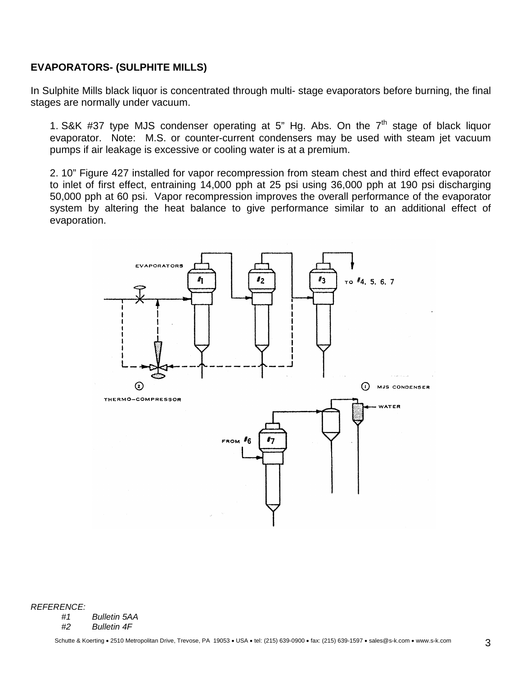# **EVAPORATORS- (SULPHITE MILLS)**

In Sulphite Mills black liquor is concentrated through multi- stage evaporators before burning, the final stages are normally under vacuum.

1. S&K #37 type MJS condenser operating at 5" Hg. Abs. On the  $7<sup>th</sup>$  stage of black liquor evaporator. Note: M.S. or counter-current condensers may be used with steam jet vacuum pumps if air leakage is excessive or cooling water is at a premium.

2. 10" Figure 427 installed for vapor recompression from steam chest and third effect evaporator to inlet of first effect, entraining 14,000 pph at 25 psi using 36,000 pph at 190 psi discharging 50,000 pph at 60 psi. Vapor recompression improves the overall performance of the evaporator system by altering the heat balance to give performance similar to an additional effect of evaporation.



*REFERENCE:* 

*#1 Bulletin 5AA*

*#2 Bulletin 4F*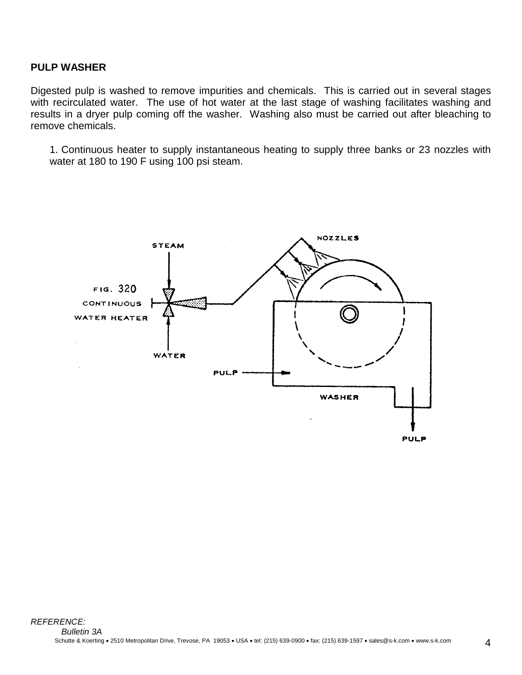## **PULP WASHER**

Digested pulp is washed to remove impurities and chemicals. This is carried out in several stages with recirculated water. The use of hot water at the last stage of washing facilitates washing and results in a dryer pulp coming off the washer. Washing also must be carried out after bleaching to remove chemicals.

1. Continuous heater to supply instantaneous heating to supply three banks or 23 nozzles with water at 180 to 190 F using 100 psi steam.

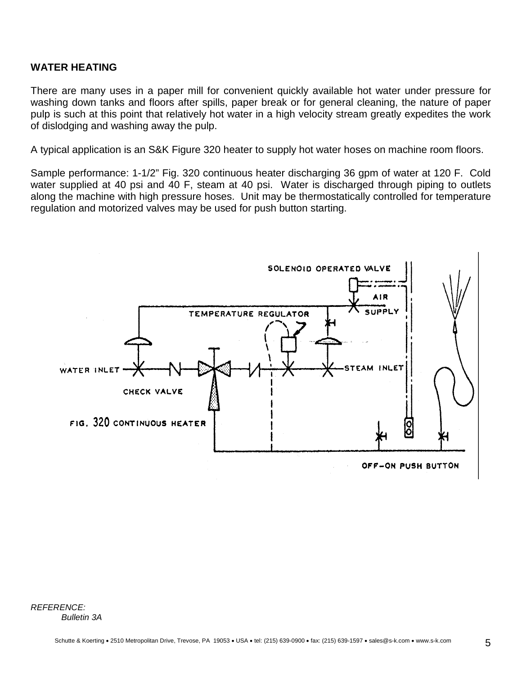## **WATER HEATING**

There are many uses in a paper mill for convenient quickly available hot water under pressure for washing down tanks and floors after spills, paper break or for general cleaning, the nature of paper pulp is such at this point that relatively hot water in a high velocity stream greatly expedites the work of dislodging and washing away the pulp.

A typical application is an S&K Figure 320 heater to supply hot water hoses on machine room floors.

Sample performance: 1-1/2" Fig. 320 continuous heater discharging 36 gpm of water at 120 F. Cold water supplied at 40 psi and 40 F, steam at 40 psi. Water is discharged through piping to outlets along the machine with high pressure hoses. Unit may be thermostatically controlled for temperature regulation and motorized valves may be used for push button starting.



*REFERENCE: Bulletin 3A*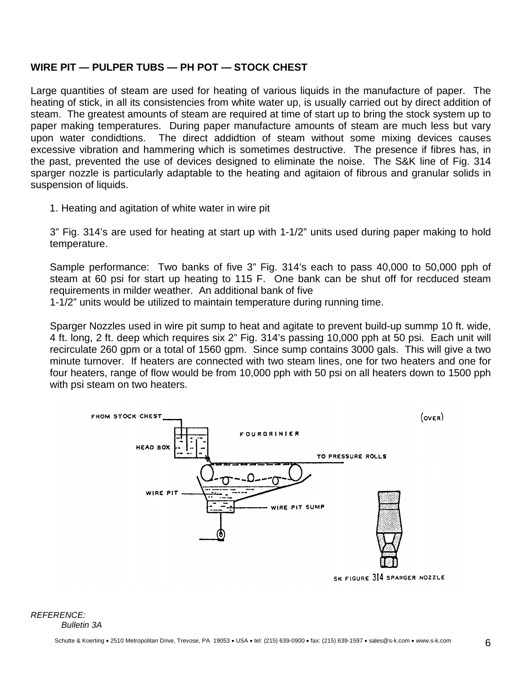## **WIRE PIT — PULPER TUBS — PH POT — STOCK CHEST**

Large quantities of steam are used for heating of various liquids in the manufacture of paper. The heating of stick, in all its consistencies from white water up, is usually carried out by direct addition of steam. The greatest amounts of steam are required at time of start up to bring the stock system up to paper making temperatures. During paper manufacture amounts of steam are much less but vary upon water condidtions. The direct addidtion of steam without some mixing devices causes excessive vibration and hammering which is sometimes destructive. The presence if fibres has, in the past, prevented the use of devices designed to eliminate the noise. The S&K line of Fig. 314 sparger nozzle is particularly adaptable to the heating and agitaion of fibrous and granular solids in suspension of liquids.

1. Heating and agitation of white water in wire pit

3" Fig. 314's are used for heating at start up with 1-1/2" units used during paper making to hold temperature.

Sample performance: Two banks of five 3" Fig. 314's each to pass 40,000 to 50,000 pph of steam at 60 psi for start up heating to 115 F. One bank can be shut off for recduced steam requirements in milder weather. An additional bank of five

1-1/2" units would be utilized to maintain temperature during running time.

Sparger Nozzles used in wire pit sump to heat and agitate to prevent build-up summp 10 ft. wide, 4 ft. long, 2 ft. deep which requires six 2" Fig. 314's passing 10,000 pph at 50 psi. Each unit will recirculate 260 gpm or a total of 1560 gpm. Since sump contains 3000 gals. This will give a two minute turnover. If heaters are connected with two steam lines, one for two heaters and one for four heaters, range of flow would be from 10,000 pph with 50 psi on all heaters down to 1500 pph with psi steam on two heaters.



SK FIGURE 314 SPARGER NOZZLE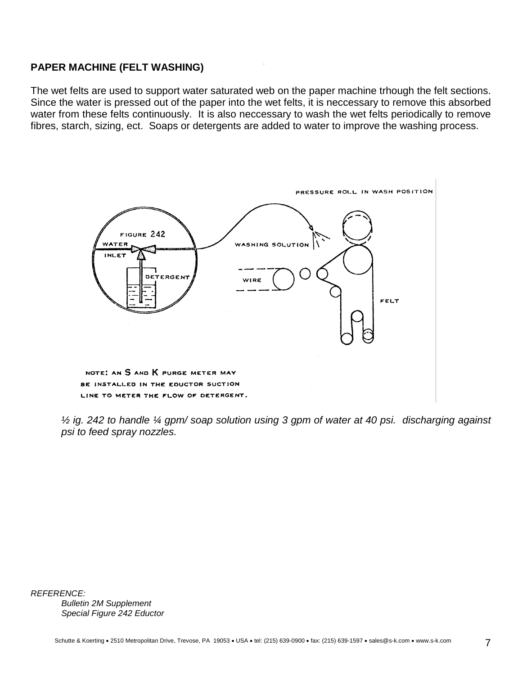## **PAPER MACHINE (FELT WASHING)**

The wet felts are used to support water saturated web on the paper machine trhough the felt sections. Since the water is pressed out of the paper into the wet felts, it is neccessary to remove this absorbed water from these felts continuously. It is also neccessary to wash the wet felts periodically to remove fibres, starch, sizing, ect. Soaps or detergents are added to water to improve the washing process.



*½ ig. 242 to handle ¼ gpm/ soap solution using 3 gpm of water at 40 psi. discharging against psi to feed spray nozzles.*

*REFERENCE: Bulletin 2M Supplement Special Figure 242 Eductor*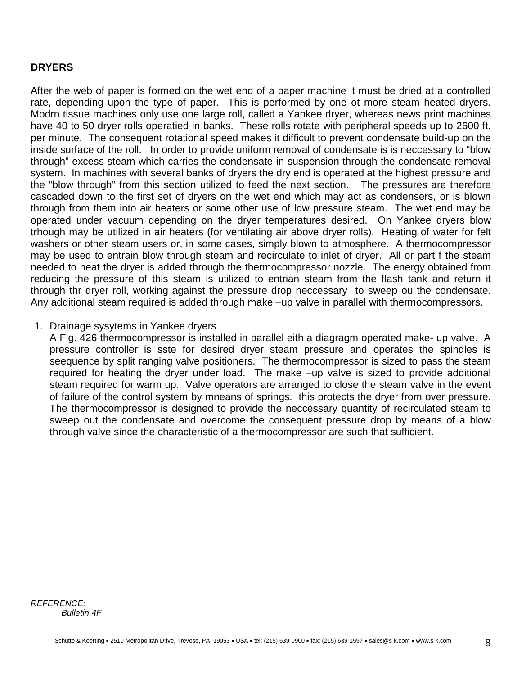## **DRYERS**

After the web of paper is formed on the wet end of a paper machine it must be dried at a controlled rate, depending upon the type of paper. This is performed by one ot more steam heated dryers. Modrn tissue machines only use one large roll, called a Yankee dryer, whereas news print machines have 40 to 50 dryer rolls operatied in banks. These rolls rotate with peripheral speeds up to 2600 ft. per minute. The consequent rotational speed makes it difficult to prevent condensate build-up on the inside surface of the roll. In order to provide uniform removal of condensate is is neccessary to "blow through" excess steam which carries the condensate in suspension through the condensate removal system. In machines with several banks of dryers the dry end is operated at the highest pressure and the "blow through" from this section utilized to feed the next section. The pressures are therefore cascaded down to the first set of dryers on the wet end which may act as condensers, or is blown through from them into air heaters or some other use of low pressure steam. The wet end may be operated under vacuum depending on the dryer temperatures desired. On Yankee dryers blow trhough may be utilized in air heaters (for ventilating air above dryer rolls). Heating of water for felt washers or other steam users or, in some cases, simply blown to atmosphere. A thermocompressor may be used to entrain blow through steam and recirculate to inlet of dryer. All or part f the steam needed to heat the dryer is added through the thermocompressor nozzle. The energy obtained from reducing the pressure of this steam is utilized to entrian steam from the flash tank and return it through thr dryer roll, working against the pressure drop neccessary to sweep ou the condensate. Any additional steam required is added through make –up valve in parallel with thermocompressors.

#### 1. Drainage sysytems in Yankee dryers

A Fig. 426 thermocompressor is installed in parallel eith a diagragm operated make- up valve. A pressure controller is sste for desired dryer steam pressure and operates the spindles is seequence by split ranging valve positioners. The thermocompressor is sized to pass the steam required for heating the dryer under load. The make –up valve is sized to provide additional steam required for warm up. Valve operators are arranged to close the steam valve in the event of failure of the control system by mneans of springs. this protects the dryer from over pressure. The thermocompressor is designed to provide the neccessary quantity of recirculated steam to sweep out the condensate and overcome the consequent pressure drop by means of a blow through valve since the characteristic of a thermocompressor are such that sufficient.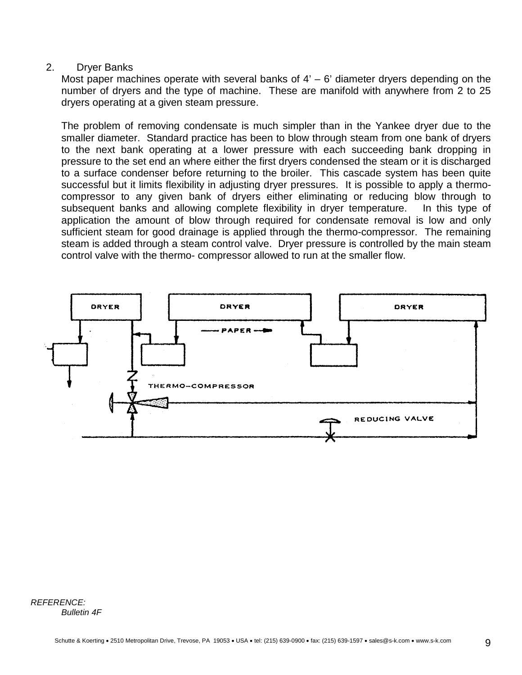## 2. Dryer Banks

Most paper machines operate with several banks of  $4' - 6'$  diameter dryers depending on the number of dryers and the type of machine. These are manifold with anywhere from 2 to 25 dryers operating at a given steam pressure.

The problem of removing condensate is much simpler than in the Yankee dryer due to the smaller diameter. Standard practice has been to blow through steam from one bank of dryers to the next bank operating at a lower pressure with each succeeding bank dropping in pressure to the set end an where either the first dryers condensed the steam or it is discharged to a surface condenser before returning to the broiler. This cascade system has been quite successful but it limits flexibility in adjusting dryer pressures. It is possible to apply a thermocompressor to any given bank of dryers either eliminating or reducing blow through to subsequent banks and allowing complete flexibility in dryer temperature. In this type of application the amount of blow through required for condensate removal is low and only sufficient steam for good drainage is applied through the thermo-compressor. The remaining steam is added through a steam control valve. Dryer pressure is controlled by the main steam control valve with the thermo- compressor allowed to run at the smaller flow.



*REFERENCE: Bulletin 4F*